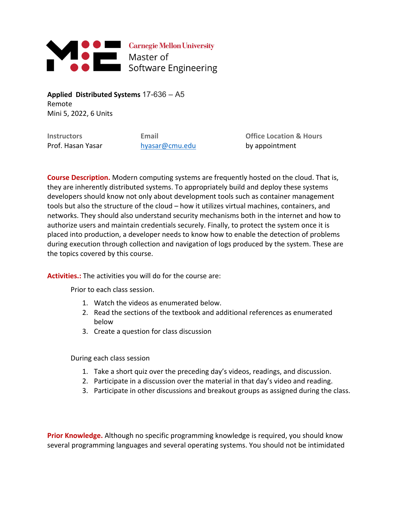

**Applied Distributed Systems** 17-636 – A5 Remote Mini 5, 2022, 6 Units

Prof. Hasan Yasar hyasar@cmu.edu by appointment

**Instructors Email Office Location & Hours**

**Course Description.** Modern computing systems are frequently hosted on the cloud. That is, they are inherently distributed systems. To appropriately build and deploy these systems developers should know not only about development tools such as container management tools but also the structure of the cloud – how it utilizes virtual machines, containers, and networks. They should also understand security mechanisms both in the internet and how to authorize users and maintain credentials securely. Finally, to protect the system once it is placed into production, a developer needs to know how to enable the detection of problems during execution through collection and navigation of logs produced by the system. These are the topics covered by this course.

**Activities.:** The activities you will do for the course are:

Prior to each class session.

- 1. Watch the videos as enumerated below.
- 2. Read the sections of the textbook and additional references as enumerated below
- 3. Create a question for class discussion

During each class session

- 1. Take a short quiz over the preceding day's videos, readings, and discussion.
- 2. Participate in a discussion over the material in that day's video and reading.
- 3. Participate in other discussions and breakout groups as assigned during the class.

**Prior Knowledge.** Although no specific programming knowledge is required, you should know several programming languages and several operating systems. You should not be intimidated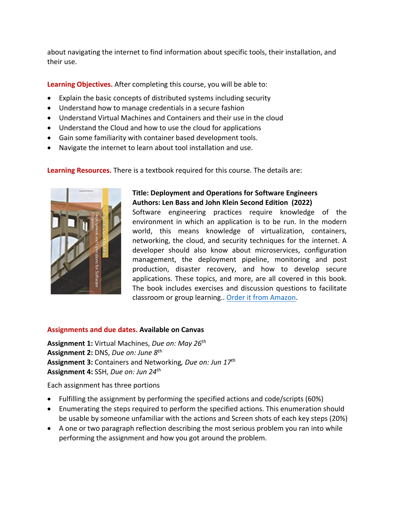about navigating the internet to find information about specific tools, their installation, and their use.

**Learning Objectives.** After completing this course, you will be able to:

- Explain the basic concepts of distributed systems including security
- Understand how to manage credentials in a secure fashion
- Understand Virtual Machines and Containers and their use in the cloud
- Understand the Cloud and how to use the cloud for applications
- Gain some familiarity with container based development tools.
- Navigate the internet to learn about tool installation and use.

**Learning Resources.** There is a textbook required for this course. The details are:



## **Title: Deployment and Operations for Software Engineers Authors: Len Bass and John Klein Second Edition (2022)**

Software engineering practices require knowledge of the environment in which an application is to be run. In the modern world, this means knowledge of virtualization, containers, networking, the cloud, and security techniques for the internet. A developer should also know about microservices, configuration management, the deployment pipeline, monitoring and post production, disaster recovery, and how to develop secure applications. These topics, and more, are all covered in this book. The book includes exercises and discussion questions to facilitate classroom or group learning.. Order it from Amazon.

## **Assignments and due dates. Available on Canvas**

**Assignment 1:** Virtual Machines, *Due on: May 26th* **Assignment 2:** DNS, *Due on: June 8th* **Assignment 3:** Containers and Networking*, Due on: Jun 17th* **Assignment 4:** SSH, *Due on: Jun 24th* 

Each assignment has three portions

- Fulfilling the assignment by performing the specified actions and code/scripts (60%)
- Enumerating the steps required to perform the specified actions. This enumeration should be usable by someone unfamiliar with the actions and Screen shots of each key steps (20%)
- A one or two paragraph reflection describing the most serious problem you ran into while performing the assignment and how you got around the problem.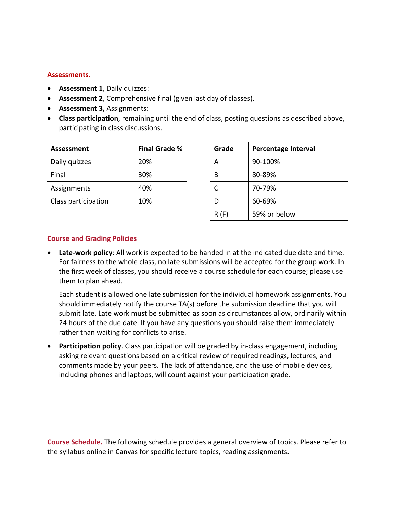## **Assessments.**

- **Assessment 1**, Daily quizzes:
- **Assessment 2**, Comprehensive final (given last day of classes).
- **Assessment 3,** Assignments:
- **Class participation**, remaining until the end of class, posting questions as described above, participating in class discussions.

| Assessment          | <b>Final Grade %</b> | Grade | <b>Percentage Interval</b> |
|---------------------|----------------------|-------|----------------------------|
| Daily quizzes       | 20%                  | А     | 90-100%                    |
| Final               | 30%                  | B     | 80-89%                     |
| Assignments         | 40%                  |       | 70-79%                     |
| Class participation | 10%                  | D     | 60-69%                     |
|                     |                      | R(F)  | 59% or below               |

## **Course and Grading Policies**

• **Late-work policy**: All work is expected to be handed in at the indicated due date and time. For fairness to the whole class, no late submissions will be accepted for the group work. In the first week of classes, you should receive a course schedule for each course; please use them to plan ahead.

Each student is allowed one late submission for the individual homework assignments. You should immediately notify the course TA(s) before the submission deadline that you will submit late. Late work must be submitted as soon as circumstances allow, ordinarily within 24 hours of the due date. If you have any questions you should raise them immediately rather than waiting for conflicts to arise.

• **Participation policy**. Class participation will be graded by in-class engagement, including asking relevant questions based on a critical review of required readings, lectures, and comments made by your peers. The lack of attendance, and the use of mobile devices, including phones and laptops, will count against your participation grade.

**Course Schedule.** The following schedule provides a general overview of topics. Please refer to the syllabus online in Canvas for specific lecture topics, reading assignments.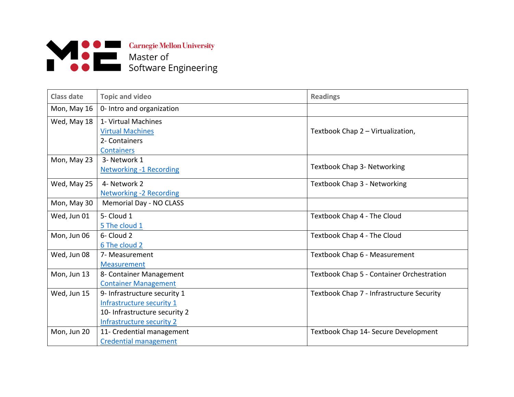

| <b>Class date</b> | <b>Topic and video</b>                                                                                                  | <b>Readings</b>                           |
|-------------------|-------------------------------------------------------------------------------------------------------------------------|-------------------------------------------|
| Mon, May 16       | 0- Intro and organization                                                                                               |                                           |
| Wed, May 18       | 1- Virtual Machines<br><b>Virtual Machines</b><br>2- Containers<br><b>Containers</b>                                    | Textbook Chap 2 - Virtualization,         |
| Mon, May 23       | 3- Network 1<br><b>Networking -1 Recording</b>                                                                          | Textbook Chap 3- Networking               |
| Wed, May 25       | 4- Network 2<br><b>Networking -2 Recording</b>                                                                          | Textbook Chap 3 - Networking              |
| Mon, May 30       | Memorial Day - NO CLASS                                                                                                 |                                           |
| Wed, Jun 01       | 5- Cloud 1<br>5 The cloud 1                                                                                             | Textbook Chap 4 - The Cloud               |
| Mon, Jun 06       | 6- Cloud 2<br>6 The cloud 2                                                                                             | Textbook Chap 4 - The Cloud               |
| Wed, Jun 08       | 7- Measurement<br>Measurement                                                                                           | Textbook Chap 6 - Measurement             |
| Mon, Jun 13       | 8- Container Management<br><b>Container Management</b>                                                                  | Textbook Chap 5 - Container Orchestration |
| Wed, Jun 15       | 9- Infrastructure security 1<br>Infrastructure security 1<br>10- Infrastructure security 2<br>Infrastructure security 2 | Textbook Chap 7 - Infrastructure Security |
| Mon, Jun 20       | 11- Credential management<br><b>Credential management</b>                                                               | Textbook Chap 14- Secure Development      |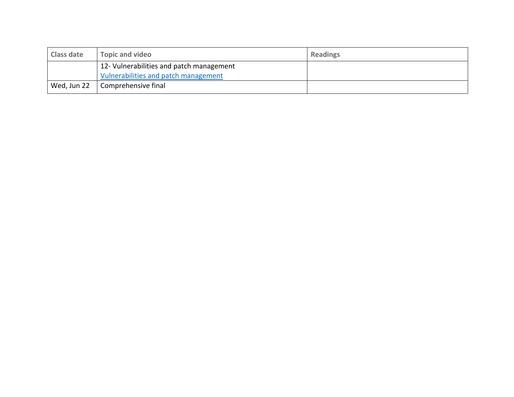| <b>Class date</b> | <b>Topic and video</b>                                                           | <b>Readings</b> |
|-------------------|----------------------------------------------------------------------------------|-----------------|
|                   | 12- Vulnerabilities and patch management<br>Vulnerabilities and patch management |                 |
| Wed, Jun 22       | Comprehensive final                                                              |                 |